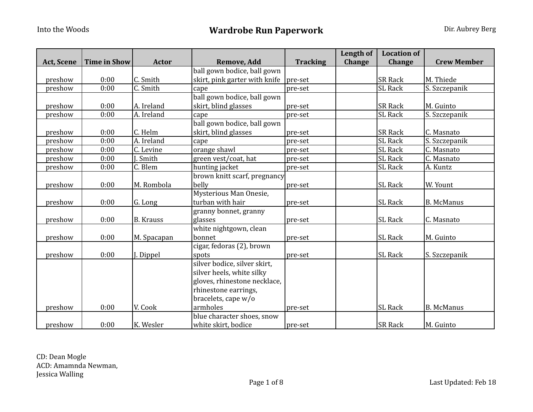|                   |                     |                        |                               |                 | <b>Length of</b> | <b>Location of</b> |                    |
|-------------------|---------------------|------------------------|-------------------------------|-----------------|------------------|--------------------|--------------------|
| <b>Act, Scene</b> | <b>Time in Show</b> | <b>Actor</b>           | <b>Remove, Add</b>            | <b>Tracking</b> | Change           | Change             | <b>Crew Member</b> |
|                   |                     |                        | ball gown bodice, ball gown   |                 |                  |                    |                    |
| preshow           | 0:00                | C. Smith               | skirt, pink garter with knife | pre-set         |                  | <b>SR Rack</b>     | M. Thiede          |
| preshow           | 0:00                | $\overline{C}$ . Smith | cape                          | pre-set         |                  | <b>SL</b> Rack     | S. Szczepanik      |
|                   |                     |                        | ball gown bodice, ball gown   |                 |                  |                    |                    |
| preshow           | 0:00                | A. Ireland             | skirt, blind glasses          | pre-set         |                  | <b>SR Rack</b>     | M. Guinto          |
| preshow           | 0:00                | A. Ireland             | cape                          | pre-set         |                  | SL Rack            | S. Szczepanik      |
|                   |                     |                        | ball gown bodice, ball gown   |                 |                  |                    |                    |
| preshow           | 0:00                | C. Helm                | skirt, blind glasses          | pre-set         |                  | <b>SR Rack</b>     | C. Masnato         |
| preshow           | 0:00                | A. Ireland             | cape                          | pre-set         |                  | <b>SL Rack</b>     | S. Szczepanik      |
| preshow           | 0:00                | C. Levine              | orange shawl                  | pre-set         |                  | SL Rack            | C. Masnato         |
| preshow           | 0:00                | Smith                  | green vest/coat, hat          | pre-set         |                  | <b>SL Rack</b>     | C. Masnato         |
| preshow           | 0:00                | $\overline{C}$ . Blem  | hunting jacket                | pre-set         |                  | <b>SL Rack</b>     | A. Kuntz           |
|                   |                     |                        | brown knitt scarf, pregnancy  |                 |                  |                    |                    |
| preshow           | 0:00                | M. Rombola             | belly                         | pre-set         |                  | <b>SL</b> Rack     | W. Yount           |
|                   |                     |                        | Mysterious Man Onesie,        |                 |                  |                    |                    |
| preshow           | 0:00                | G. Long                | turban with hair              | pre-set         |                  | <b>SL Rack</b>     | <b>B.</b> McManus  |
|                   |                     |                        | granny bonnet, granny         |                 |                  |                    |                    |
| preshow           | 0:00                | <b>B.</b> Krauss       | glasses                       | pre-set         |                  | <b>SL Rack</b>     | C. Masnato         |
|                   |                     |                        | white nightgown, clean        |                 |                  |                    |                    |
| preshow           | 0:00                | M. Spacapan            | bonnet                        | pre-set         |                  | <b>SL Rack</b>     | M. Guinto          |
|                   |                     |                        | cigar, fedoras (2), brown     |                 |                  |                    |                    |
| preshow           | 0:00                | J. Dippel              | spots                         | pre-set         |                  | <b>SL Rack</b>     | S. Szczepanik      |
|                   |                     |                        | silver bodice, silver skirt,  |                 |                  |                    |                    |
|                   |                     |                        | silver heels, white silky     |                 |                  |                    |                    |
|                   |                     |                        | gloves, rhinestone necklace,  |                 |                  |                    |                    |
|                   |                     |                        | rhinestone earrings,          |                 |                  |                    |                    |
|                   |                     |                        | bracelets, cape w/o           |                 |                  |                    |                    |
| preshow           | 0:00                | V. Cook                | armholes                      | pre-set         |                  | SL Rack            | <b>B.</b> McManus  |
|                   |                     |                        | blue character shoes, snow    |                 |                  |                    |                    |
| preshow           | 0:00                | K. Wesler              | white skirt, bodice           | pre-set         |                  | <b>SR Rack</b>     | M. Guinto          |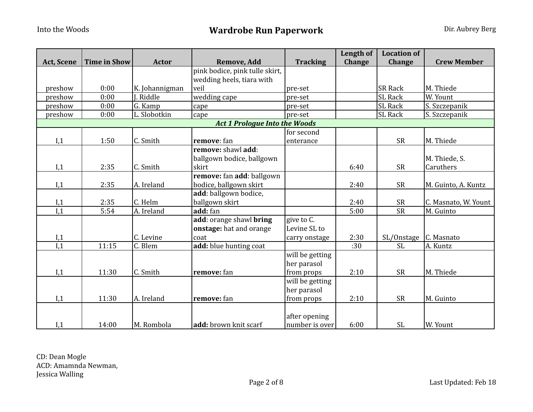|                   |                     |                |                                      |                 | Length of | <b>Location of</b>     |                      |
|-------------------|---------------------|----------------|--------------------------------------|-----------------|-----------|------------------------|----------------------|
| <b>Act, Scene</b> | <b>Time in Show</b> | <b>Actor</b>   | Remove, Add                          | <b>Tracking</b> | Change    | Change                 | <b>Crew Member</b>   |
|                   |                     |                | pink bodice, pink tulle skirt,       |                 |           |                        |                      |
|                   |                     |                | wedding heels, tiara with            |                 |           |                        |                      |
| preshow           | 0:00                | K. Johannigman | veil                                 | pre-set         |           | <b>SR Rack</b>         | M. Thiede            |
| preshow           | 0:00                | J. Riddle      | wedding cape                         | pre-set         |           | <b>SL</b> Rack         | W. Yount             |
| preshow           | 0:00                | G. Kamp        | cape                                 | pre-set         |           | <b>SL Rack</b>         | S. Szczepanik        |
| preshow           | 0:00                | L. Slobotkin   | cape                                 | pre-set         |           | <b>SL Rack</b>         | S. Szczepanik        |
|                   |                     |                | <b>Act 1 Prologue Into the Woods</b> |                 |           |                        |                      |
|                   |                     |                |                                      | for second      |           |                        |                      |
| I,1               | 1:50                | C. Smith       | remove: fan                          | enterance       |           | <b>SR</b>              | M. Thiede            |
|                   |                     |                | remove: shawl add:                   |                 |           |                        |                      |
|                   |                     |                | ballgown bodice, ballgown            |                 |           |                        | M. Thiede, S.        |
| I,1               | 2:35                | C. Smith       | skirt                                |                 | 6:40      | <b>SR</b>              | Caruthers            |
|                   |                     |                | remove: fan add: ballgown            |                 |           |                        |                      |
| I,1               | 2:35                | A. Ireland     | bodice, ballgown skirt               |                 | 2:40      | <b>SR</b>              | M. Guinto, A. Kuntz  |
|                   |                     |                | add: ballgown bodice,                |                 |           |                        |                      |
| I,1               | 2:35                | C. Helm        | ballgown skirt                       |                 | 2:40      | <b>SR</b>              | C. Masnato, W. Yount |
| I,1               | 5:54                | A. Ireland     | add: fan                             |                 | 5:00      | $\overline{\text{SR}}$ | M. Guinto            |
|                   |                     |                | add: orange shawl <b>bring</b>       | give to C.      |           |                        |                      |
|                   |                     |                | onstage: hat and orange              | Levine SL to    |           |                        |                      |
| I,1               |                     | C. Levine      | coat                                 | carry onstage   | 2:30      | SL/Onstage             | C. Masnato           |
| I,1               | 11:15               | C. Blem        | add: blue hunting coat               |                 | :30       | <b>SL</b>              | A. Kuntz             |
|                   |                     |                |                                      | will be getting |           |                        |                      |
|                   |                     |                |                                      | her parasol     |           |                        |                      |
| I,1               | 11:30               | C. Smith       | remove: fan                          | from props      | 2:10      | <b>SR</b>              | M. Thiede            |
|                   |                     |                |                                      | will be getting |           |                        |                      |
|                   |                     |                |                                      | her parasol     |           |                        |                      |
| I,1               | 11:30               | A. Ireland     | remove: fan                          | from props      | 2:10      | <b>SR</b>              | M. Guinto            |
|                   |                     |                |                                      |                 |           |                        |                      |
|                   |                     |                |                                      | after opening   |           |                        |                      |
| I,1               | 14:00               | M. Rombola     | add: brown knit scarf                | number is over  | 6:00      | <b>SL</b>              | W. Yount             |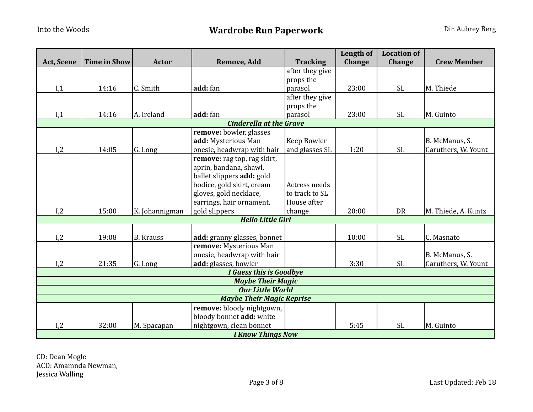|                   |                          |                  |                                  |                 | Length of | <b>Location of</b> |                     |  |  |  |
|-------------------|--------------------------|------------------|----------------------------------|-----------------|-----------|--------------------|---------------------|--|--|--|
| <b>Act, Scene</b> | <b>Time in Show</b>      | <b>Actor</b>     | Remove, Add                      | <b>Tracking</b> | Change    | <b>Change</b>      | <b>Crew Member</b>  |  |  |  |
|                   |                          |                  |                                  | after they give |           |                    |                     |  |  |  |
|                   |                          |                  |                                  | props the       |           |                    |                     |  |  |  |
| I,1               | 14:16                    | C. Smith         | add: fan                         | parasol         | 23:00     | <b>SL</b>          | M. Thiede           |  |  |  |
|                   |                          |                  |                                  | after they give |           |                    |                     |  |  |  |
|                   |                          |                  |                                  | props the       |           |                    |                     |  |  |  |
| I,1               | 14:16                    | A. Ireland       | add: fan                         | parasol         | 23:00     | <b>SL</b>          | M. Guinto           |  |  |  |
|                   |                          |                  | <b>Cinderella at the Grave</b>   |                 |           |                    |                     |  |  |  |
|                   |                          |                  | remove: bowler, glasses          |                 |           |                    |                     |  |  |  |
|                   |                          |                  | add: Mysterious Man              | Keep Bowler     |           |                    | B. McManus, S.      |  |  |  |
| I,2               | 14:05                    | G. Long          | onesie, headwrap with hair       | and glasses SL  | 1:20      | <b>SL</b>          | Caruthers, W. Yount |  |  |  |
|                   |                          |                  | remove: rag top, rag skirt,      |                 |           |                    |                     |  |  |  |
|                   |                          |                  | aprin, bandana, shawl,           |                 |           |                    |                     |  |  |  |
|                   |                          |                  | ballet slippers add: gold        |                 |           |                    |                     |  |  |  |
|                   |                          |                  | bodice, gold skirt, cream        | Actress needs   |           |                    |                     |  |  |  |
|                   |                          |                  | gloves, gold necklace,           | to track to SL  |           |                    |                     |  |  |  |
|                   |                          |                  | earrings, hair ornament,         | House after     |           |                    |                     |  |  |  |
| I,2               | 15:00                    | K. Johannigman   | gold slippers                    | change          | 20:00     | <b>DR</b>          | M. Thiede, A. Kuntz |  |  |  |
|                   |                          |                  | <b>Hello Little Girl</b>         |                 |           |                    |                     |  |  |  |
|                   |                          |                  |                                  |                 |           |                    |                     |  |  |  |
| I,2               | 19:08                    | <b>B.</b> Krauss | add: granny glasses, bonnet      |                 | 10:00     | <b>SL</b>          | C. Masnato          |  |  |  |
|                   |                          |                  | remove: Mysterious Man           |                 |           |                    |                     |  |  |  |
|                   |                          |                  | onesie, headwrap with hair       |                 |           |                    | B. McManus, S.      |  |  |  |
| I,2               | 21:35                    | G. Long          | add: glasses, bowler             |                 | 3:30      | <b>SL</b>          | Caruthers, W. Yount |  |  |  |
|                   |                          |                  | I Guess this is Goodbye          |                 |           |                    |                     |  |  |  |
|                   |                          |                  | <b>Maybe Their Magic</b>         |                 |           |                    |                     |  |  |  |
|                   |                          |                  | <b>Our Little World</b>          |                 |           |                    |                     |  |  |  |
|                   |                          |                  | <b>Maybe Their Magic Reprise</b> |                 |           |                    |                     |  |  |  |
|                   |                          |                  | remove: bloody nightgown,        |                 |           |                    |                     |  |  |  |
|                   |                          |                  | bloody bonnet add: white         |                 |           |                    |                     |  |  |  |
| I,2               | 32:00                    | M. Spacapan      | nightgown, clean bonnet          |                 | 5:45      | <b>SL</b>          | M. Guinto           |  |  |  |
|                   | <b>I Know Things Now</b> |                  |                                  |                 |           |                    |                     |  |  |  |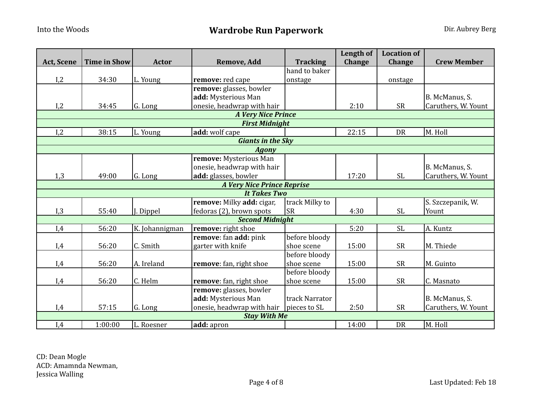|            |                     |                |                                   |                 | <b>Length of</b> | <b>Location of</b> |                     |
|------------|---------------------|----------------|-----------------------------------|-----------------|------------------|--------------------|---------------------|
| Act, Scene | <b>Time in Show</b> | <b>Actor</b>   | Remove, Add                       | <b>Tracking</b> | <b>Change</b>    | <b>Change</b>      | <b>Crew Member</b>  |
|            |                     |                |                                   | hand to baker   |                  |                    |                     |
| I,2        | 34:30               | L. Young       | remove: red cape                  | onstage         |                  | onstage            |                     |
|            |                     |                | remove: glasses, bowler           |                 |                  |                    |                     |
|            |                     |                | add: Mysterious Man               |                 |                  |                    | B. McManus, S.      |
| I,2        | 34:45               | G. Long        | onesie, headwrap with hair        |                 | 2:10             | <b>SR</b>          | Caruthers, W. Yount |
|            |                     |                | <b>A Very Nice Prince</b>         |                 |                  |                    |                     |
|            |                     |                | <b>First Midnight</b>             |                 |                  |                    |                     |
| I,2        | 38:15               | L. Young       | add: wolf cape                    |                 | 22:15            | <b>DR</b>          | M. Holl             |
|            |                     |                | <b>Giants in the Sky</b>          |                 |                  |                    |                     |
|            |                     |                | <b>Agony</b>                      |                 |                  |                    |                     |
|            |                     |                | remove: Mysterious Man            |                 |                  |                    |                     |
|            |                     |                | onesie, headwrap with hair        |                 |                  |                    | B. McManus, S.      |
| 1,3        | 49:00               | G. Long        | add: glasses, bowler              |                 | 17:20            | <b>SL</b>          | Caruthers, W. Yount |
|            |                     |                | <b>A Very Nice Prince Reprise</b> |                 |                  |                    |                     |
|            |                     |                | <b>It Takes Two</b>               |                 |                  |                    |                     |
|            |                     |                | remove: Milky add: cigar,         | track Milky to  |                  |                    | S. Szczepanik, W.   |
| I,3        | 55:40               | J. Dippel      | fedoras (2), brown spots          | lsr             | 4:30             | SL                 | Yount               |
|            |                     |                | <b>Second Midnight</b>            |                 |                  |                    |                     |
| I,4        | 56:20               | K. Johannigman | remove: right shoe                |                 | 5:20             | <b>SL</b>          | A. Kuntz            |
|            |                     |                | remove: fan add: pink             | before bloody   |                  |                    |                     |
| I,4        | 56:20               | C. Smith       | garter with knife                 | shoe scene      | 15:00            | <b>SR</b>          | M. Thiede           |
|            |                     |                |                                   | before bloody   |                  |                    |                     |
| I,4        | 56:20               | A. Ireland     | remove: fan, right shoe           | shoe scene      | 15:00            | <b>SR</b>          | M. Guinto           |
|            |                     |                |                                   | before bloody   |                  |                    |                     |
| I,4        | 56:20               | C. Helm        | remove: fan, right shoe           | shoe scene      | 15:00            | <b>SR</b>          | C. Masnato          |
|            |                     |                | remove: glasses, bowler           |                 |                  |                    |                     |
|            |                     |                | add: Mysterious Man               | track Narrator  |                  |                    | B. McManus, S.      |
| I,4        | 57:15               | G. Long        | onesie, headwrap with hair        | pieces to SL    | 2:50             | <b>SR</b>          | Caruthers, W. Yount |
|            |                     |                | <b>Stay With Me</b>               |                 |                  |                    |                     |
| I,4        | 1:00:00             | L. Roesner     | add: apron                        |                 | 14:00            | <b>DR</b>          | M. Holl             |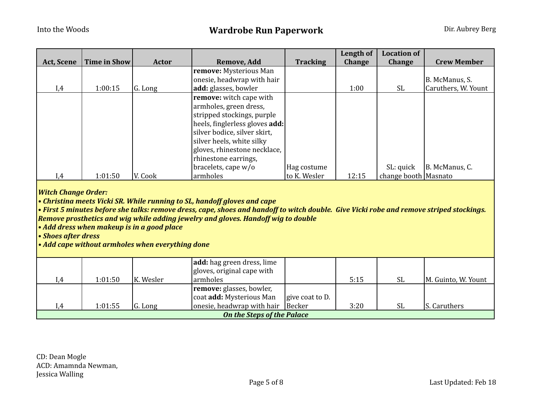|                   |              |         |                                |                 | Length of     | <b>Location of</b>   |                     |
|-------------------|--------------|---------|--------------------------------|-----------------|---------------|----------------------|---------------------|
| <b>Act, Scene</b> | Time in Show | Actor   | Remove, Add                    | <b>Tracking</b> | <b>Change</b> | <b>Change</b>        | <b>Crew Member</b>  |
|                   |              |         | remove: Mysterious Man         |                 |               |                      |                     |
|                   |              |         | onesie, headwrap with hair     |                 |               |                      | B. McManus, S.      |
| I,4               | 1:00:15      | G. Long | add: glasses, bowler           |                 | 1:00          | SL.                  | Caruthers, W. Yount |
|                   |              |         | remove: witch cape with        |                 |               |                      |                     |
|                   |              |         | armholes, green dress,         |                 |               |                      |                     |
|                   |              |         | stripped stockings, purple     |                 |               |                      |                     |
|                   |              |         | heels, finglerless gloves add: |                 |               |                      |                     |
|                   |              |         | silver bodice, silver skirt,   |                 |               |                      |                     |
|                   |              |         | silver heels, white silky      |                 |               |                      |                     |
|                   |              |         | gloves, rhinestone necklace,   |                 |               |                      |                     |
|                   |              |         | rhinestone earrings,           |                 |               |                      |                     |
|                   |              |         | bracelets, cape $w/o$          | Hag costume     |               | SL: quick            | B. McManus, C.      |
| I,4               | 1:01:50      | V. Cook | armholes                       | to K. Wesler    | 12:15         | change booth Masnato |                     |

*Witch
Change
Order:*

*•
Christina
meets
Vicki
SR.
While
running
to
SL,
handoff
gloves
and
cape*

*•
First
5
minutes
before
she
talks:
remove
dress,
cape,
shoes
and
handoff
to
witch
double.

Give
Vicki
robe
and
remove
striped
stockings.*  **Remove prosthetics and wig while adding jewelry and gloves. Handoff wig to double** 

*•
Add
dress
when
makeup
is
in
a
good
place*

*•
Shoes
after
dress*

*•
Add
cape
without
armholes
when
everything
done*

|                                   |         |           | add: hag green dress, lime<br>gloves, original cape with |                 |      |           |                     |  |
|-----------------------------------|---------|-----------|----------------------------------------------------------|-----------------|------|-----------|---------------------|--|
| I.4                               | 1:01:50 | K. Wesler | larmholes                                                |                 | 5:15 | SL        | M. Guinto, W. Yount |  |
|                                   |         |           | <b>remove:</b> glasses, bowler,                          |                 |      |           |                     |  |
|                                   |         |           | coat <b>add:</b> Mysterious Man                          | give coat to D. |      |           |                     |  |
| .4                                | 1:01:55 | G. Long   | onesie, headwrap with hair Becker                        |                 | 3:20 | <b>SL</b> | S. Caruthers        |  |
| <b>On the Steps of the Palace</b> |         |           |                                                          |                 |      |           |                     |  |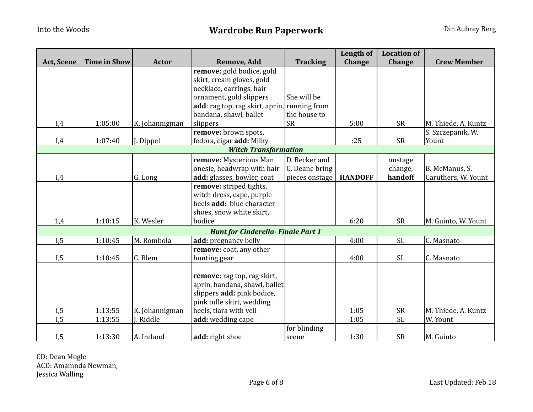|                   |                     |                |                                              |                 | Length of      | <b>Location of</b> |                     |
|-------------------|---------------------|----------------|----------------------------------------------|-----------------|----------------|--------------------|---------------------|
| <b>Act, Scene</b> | <b>Time in Show</b> | <b>Actor</b>   | Remove, Add                                  | <b>Tracking</b> | Change         | Change             | <b>Crew Member</b>  |
|                   |                     |                | remove: gold bodice, gold                    |                 |                |                    |                     |
|                   |                     |                | skirt, cream gloves, gold                    |                 |                |                    |                     |
|                   |                     |                | necklace, earrings, hair                     |                 |                |                    |                     |
|                   |                     |                | ornament, gold slippers                      | She will be     |                |                    |                     |
|                   |                     |                | add: rag top, rag skirt, aprin, running from |                 |                |                    |                     |
|                   |                     |                | bandana, shawl, ballet                       | the house to    |                |                    |                     |
| I,4               | 1:05:00             | K. Johannigman | slippers                                     | <b>SR</b>       | 5:00           | <b>SR</b>          | M. Thiede, A. Kuntz |
|                   |                     |                | remove: brown spots,                         |                 |                |                    | S. Szczepanik, W.   |
| I,4               | 1:07:40             | J. Dippel      | fedora, cigar add: Milky                     |                 | :25            | <b>SR</b>          | Yount               |
|                   |                     |                | <b>Witch Transformation</b>                  |                 |                |                    |                     |
|                   |                     |                | remove: Mysterious Man                       | D. Becker and   |                | onstage            |                     |
|                   |                     |                | onesie, headwrap with hair                   | C. Deane bring  |                | change,            | B. McManus, S.      |
| I,4               |                     | G. Long        | add: glasses, bowler, coat                   | pieces onstage  | <b>HANDOFF</b> | handoff            | Caruthers, W. Yount |
|                   |                     |                | remove: striped tights,                      |                 |                |                    |                     |
|                   |                     |                | witch dress, cape, purple                    |                 |                |                    |                     |
|                   |                     |                | heels add: blue character                    |                 |                |                    |                     |
|                   |                     |                | shoes, snow white skirt,                     |                 |                |                    |                     |
| 1,4               | 1:10:15             | K. Wesler      | bodice                                       |                 | 6:20           | <b>SR</b>          | M. Guinto, W. Yount |
|                   |                     |                | <b>Hunt for Cinderella-Finale Part 1</b>     |                 |                |                    |                     |
| I, 5              | 1:10:45             | M. Rombola     | add: pregnancy belly                         |                 | 4:00           | <b>SL</b>          | C. Masnato          |
|                   |                     |                | remove: coat, any other                      |                 |                |                    |                     |
| I, 5              | 1:10:45             | C. Blem        | hunting gear                                 |                 | 4:00           | <b>SL</b>          | C. Masnato          |
|                   |                     |                |                                              |                 |                |                    |                     |
|                   |                     |                | remove: rag top, rag skirt,                  |                 |                |                    |                     |
|                   |                     |                | aprin, bandana, shawl, ballet                |                 |                |                    |                     |
|                   |                     |                | slippers add: pink bodice,                   |                 |                |                    |                     |
|                   |                     |                | pink tulle skirt, wedding                    |                 |                |                    |                     |
| I, 5              | 1:13:55             | K. Johannigman | heels, tiara with veil                       |                 | 1:05           | <b>SR</b>          | M. Thiede, A. Kuntz |
| $\overline{I,5}$  | 1:13:55             | J. Riddle      | add: wedding cape                            |                 | 1:05           | $\overline{SL}$    | W. Yount            |
|                   |                     |                |                                              | for blinding    |                |                    |                     |
| I, 5              | 1:13:30             | A. Ireland     | add: right shoe                              | scene           | 1:30           | <b>SR</b>          | M. Guinto           |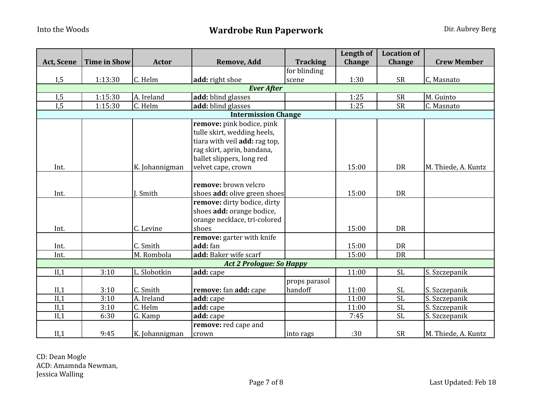|                   |                     |                       |                                 |                 | Length of     | <b>Location of</b> |                     |  |  |  |
|-------------------|---------------------|-----------------------|---------------------------------|-----------------|---------------|--------------------|---------------------|--|--|--|
| Act, Scene        | <b>Time in Show</b> | Actor                 | Remove, Add                     | <b>Tracking</b> | <b>Change</b> | Change             | <b>Crew Member</b>  |  |  |  |
|                   |                     |                       |                                 | for blinding    |               |                    |                     |  |  |  |
| I, 5              | 1:13:30             | C. Helm               | add: right shoe                 | scene           | 1:30          | <b>SR</b>          | C, Masnato          |  |  |  |
| <b>Ever After</b> |                     |                       |                                 |                 |               |                    |                     |  |  |  |
| I, 5              | 1:15:30             | A. Ireland            | add: blind glasses              |                 | 1:25          | <b>SR</b>          | M. Guinto           |  |  |  |
| I, 5              | 1:15:30             | C. Helm               | add: blind glasses              |                 | 1:25          | <b>SR</b>          | C. Masnato          |  |  |  |
|                   |                     |                       | <b>Intermission Change</b>      |                 |               |                    |                     |  |  |  |
|                   |                     |                       | remove: pink bodice, pink       |                 |               |                    |                     |  |  |  |
|                   |                     |                       | tulle skirt, wedding heels,     |                 |               |                    |                     |  |  |  |
|                   |                     |                       | tiara with veil add: rag top,   |                 |               |                    |                     |  |  |  |
|                   |                     |                       | rag skirt, aprin, bandana,      |                 |               |                    |                     |  |  |  |
|                   |                     |                       | ballet slippers, long red       |                 |               |                    |                     |  |  |  |
| Int.              |                     | K. Johannigman        | velvet cape, crown              |                 | 15:00         | DR                 | M. Thiede, A. Kuntz |  |  |  |
|                   |                     |                       |                                 |                 |               |                    |                     |  |  |  |
|                   |                     |                       | remove: brown velcro            |                 |               |                    |                     |  |  |  |
| Int.              |                     | I. Smith              | shoes add: olive green shoes    |                 | 15:00         | DR                 |                     |  |  |  |
|                   |                     |                       | remove: dirty bodice, dirty     |                 |               |                    |                     |  |  |  |
|                   |                     |                       | shoes add: orange bodice,       |                 |               |                    |                     |  |  |  |
|                   |                     |                       | orange necklace, tri-colored    |                 |               |                    |                     |  |  |  |
| Int.              |                     | C. Levine             | shoes                           |                 | 15:00         | <b>DR</b>          |                     |  |  |  |
|                   |                     |                       | remove: garter with knife       |                 |               |                    |                     |  |  |  |
| Int.              |                     | C. Smith              | add: fan                        |                 | 15:00         | <b>DR</b>          |                     |  |  |  |
| Int.              |                     | M. Rombola            | add: Baker wife scarf           |                 | 15:00         | DR                 |                     |  |  |  |
|                   |                     |                       | <b>Act 2 Prologue: So Happy</b> |                 |               |                    |                     |  |  |  |
| II,1              | 3:10                | L. Slobotkin          | add: cape                       |                 | 11:00         | <b>SL</b>          | S. Szczepanik       |  |  |  |
|                   |                     |                       |                                 | props parasol   |               |                    |                     |  |  |  |
| II,1              | 3:10                | C. Smith              | remove: fan add: cape           | handoff         | 11:00         | <b>SL</b>          | S. Szczepanik       |  |  |  |
| II,1              | 3:10                | A. Ireland            | add: cape                       |                 | 11:00         | <b>SL</b>          | S. Szczepanik       |  |  |  |
| II,1              | 3:10                | $\overline{C}$ . Helm | add: cape                       |                 | 11:00         | <b>SL</b>          | S. Szczepanik       |  |  |  |
| II,1              | 6:30                | G. Kamp               | add: cape                       |                 | 7:45          | <b>SL</b>          | S. Szczepanik       |  |  |  |
|                   |                     |                       | remove: red cape and            |                 |               |                    |                     |  |  |  |
| II,1              | 9:45                | K. Johannigman        | crown                           | into rags       | :30           | <b>SR</b>          | M. Thiede, A. Kuntz |  |  |  |